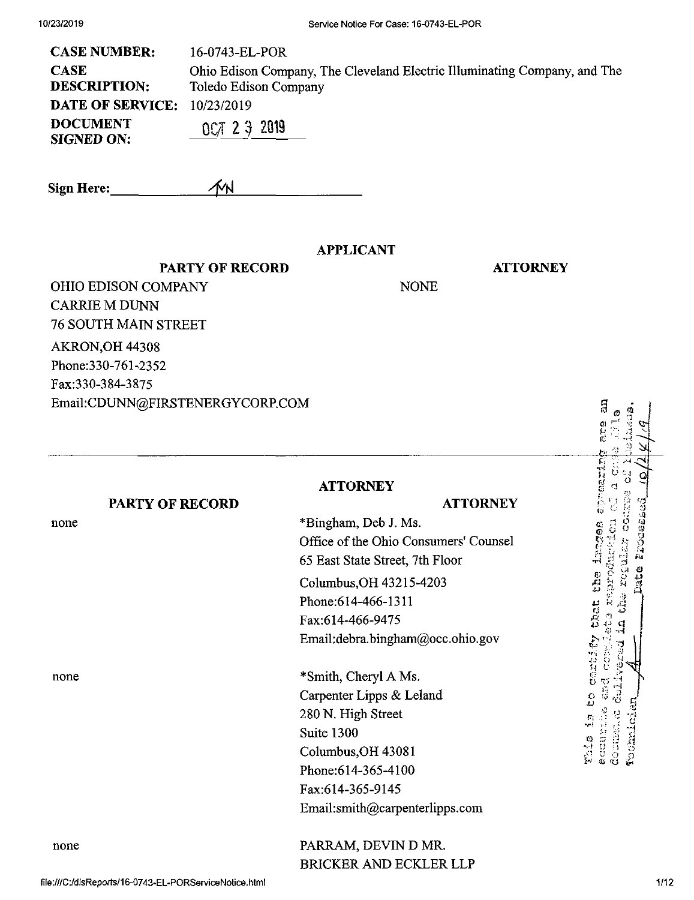| 16-0743-EL-POR                                                            |
|---------------------------------------------------------------------------|
| Ohio Edison Company, The Cleveland Electric Illuminating Company, and The |
| Toledo Edison Company                                                     |
| <b>DATE OF SERVICE:</b><br>10/23/2019                                     |
| $0C/I$ 2 3 2019                                                           |
|                                                                           |

**Sign Here:\_** MN

**PARTY OF RECORD**

### **APPLICANT**

NONE

**ATTORNEY**

 $\begin{smallmatrix} a & \mathbb{Z} & \mathbb{Z} & \mathbb{Z} & \mathbb{Z} & \mathbb{Z} & \mathbb{Z} & \mathbb{Z} & \mathbb{Z} & \mathbb{Z} & \mathbb{Z} & \mathbb{Z} & \mathbb{Z} & \mathbb{Z} & \mathbb{Z} & \mathbb{Z} & \mathbb{Z} & \mathbb{Z} & \mathbb{Z} & \mathbb{Z} & \mathbb{Z} & \mathbb{Z} & \mathbb{Z} & \mathbb{Z} & \mathbb{Z} & \mathbb{Z} & \mathbb{Z} & \mathbb{Z} & \mathbb{Z} & \mathbb{Z} & \mathbb{Z} & \math$  $\frac{1}{2}$ 

OHIO EDISON COMPANY CARRIE M DUNN 76 SOUTH MAIN STREET AKRON,OH 44308 Phone:330-761-2352 Fax:330-384-3875 Email:CDUNN@FIRSTENERGYCORP.COM

|      |                 | <b>ATTORNEY</b>                       |                                                              |
|------|-----------------|---------------------------------------|--------------------------------------------------------------|
|      | PARTY OF RECORD | <b>ATTORNEY</b>                       |                                                              |
| none |                 | *Bingham, Deb J. Ms.                  |                                                              |
|      |                 | Office of the Ohio Consumers' Counsel | Processed                                                    |
|      |                 | 65 East State Street, 7th Floor       |                                                              |
|      |                 | Columbus, OH 43215-4203               | o<br>ers<br>S<br>D2t.                                        |
|      |                 | Phone: 614-466-1311                   |                                                              |
|      |                 | Fax:614-466-9475                      | ದನಿರ                                                         |
|      |                 | Email:debra.bingham@occ.ohio.gov      |                                                              |
| none |                 | *Smith, Cheryl A Ms.                  | パパロ                                                          |
|      |                 | Carpenter Lipps & Leland              | ပ္ပ                                                          |
|      |                 | 280 N. High Street                    |                                                              |
|      |                 | Suite 1300                            |                                                              |
|      |                 | Columbus, OH 43081                    | <b>Technici</b><br>docitas<br>N<br><b>BCCAIL</b><br>$7 + 12$ |
|      |                 | Phone: 614-365-4100                   |                                                              |
|      |                 | Fax:614-365-9145                      |                                                              |
|      |                 | Email:smith@carpenterlipps.com        |                                                              |
| none |                 | PARRAM, DEVIN D MR.                   |                                                              |
|      |                 | <b>BRICKER AND ECKLER LLP</b>         |                                                              |

file:///C:/disReports/16-0743-EL-PORServiceNotice.html 1/12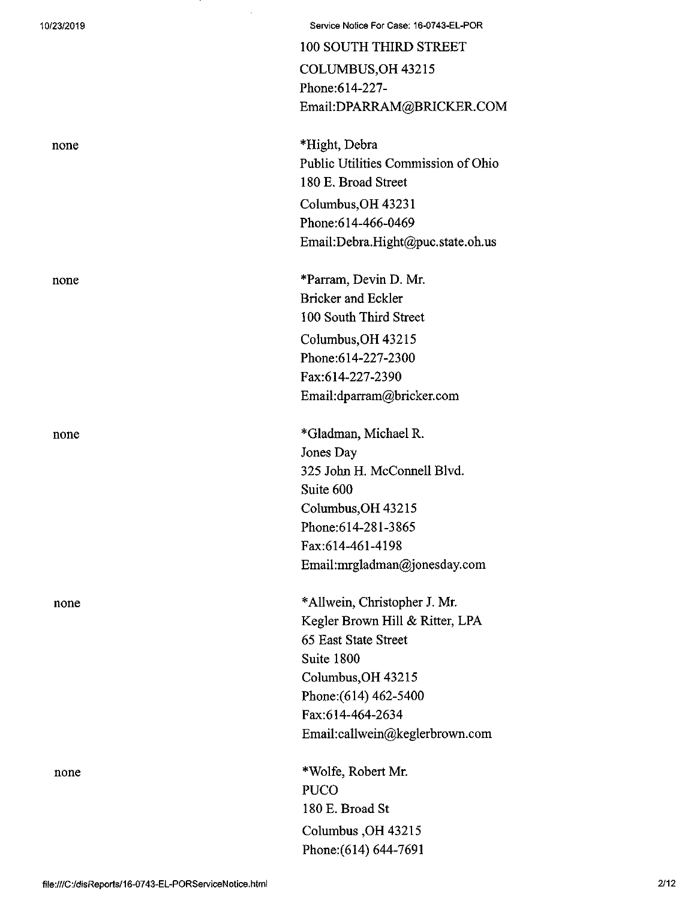| 10/23/2019 | Service Notice For Case: 16-0743-EL-POR                    |
|------------|------------------------------------------------------------|
|            | 100 SOUTH THIRD STREET                                     |
|            | COLUMBUS, OH 43215                                         |
|            | Phone: 614-227-                                            |
|            | Email:DPARRAM@BRICKER.COM                                  |
| none       | *Hight, Debra                                              |
|            | Public Utilities Commission of Ohio<br>180 E. Broad Street |
|            | Columbus, OH 43231                                         |
|            | Phone: 614-466-0469                                        |
|            | Email:Debra.Hight@puc.state.oh.us                          |
| none       | *Parram, Devin D. Mr.                                      |
|            | <b>Bricker and Eckler</b>                                  |
|            | 100 South Third Street                                     |
|            | Columbus, OH 43215                                         |
|            | Phone: 614-227-2300                                        |
|            | Fax:614-227-2390                                           |
|            | Email:dparram@bricker.com                                  |
| none       | *Gladman, Michael R.                                       |
|            | Jones Day                                                  |
|            | 325 John H. McConnell Blvd.                                |
|            | Suite 600                                                  |
|            | Columbus, OH 43215                                         |
|            | Phone: 614-281-3865                                        |
|            | Fax:614-461-4198                                           |
|            | Email:mrgladman@jonesday.com                               |
| none       | *Allwein, Christopher J. Mr.                               |
|            | Kegler Brown Hill & Ritter, LPA                            |
|            | 65 East State Street                                       |
|            | Suite 1800                                                 |
|            | Columbus, OH 43215                                         |
|            | Phone: (614) 462-5400                                      |
|            | Fax:614-464-2634                                           |
|            | Email:callwein@keglerbrown.com                             |
| none       | *Wolfe, Robert Mr.                                         |
|            | <b>PUCO</b>                                                |
|            | 180 E. Broad St                                            |
|            | Columbus, OH 43215                                         |
|            | Phone: (614) 644-7691                                      |

 $\hat{\mathcal{L}}$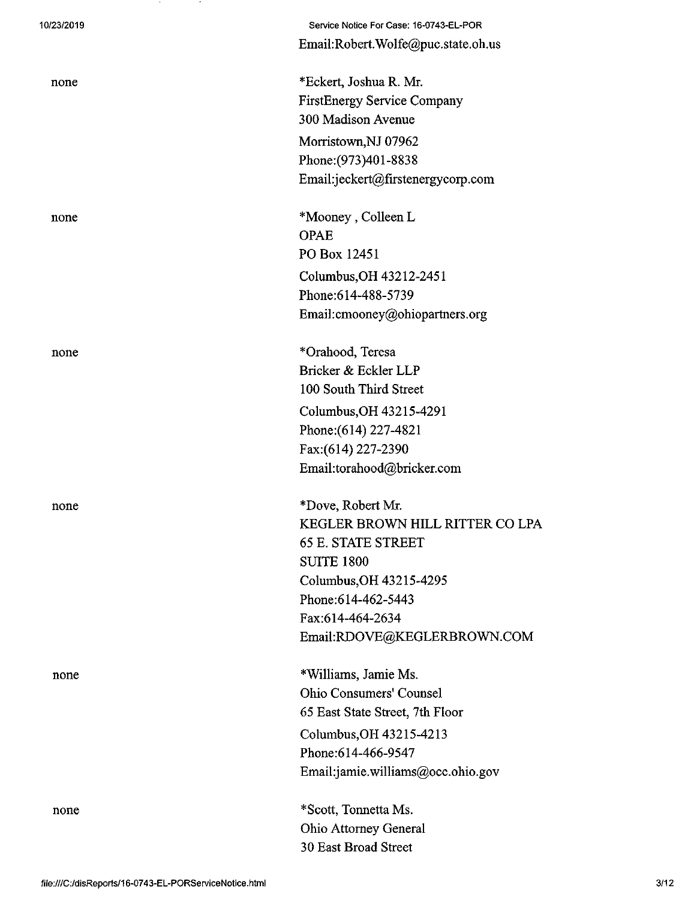| 10/23/2019 |
|------------|
|------------|

none

Service Notice For Case: 16-0743-EL-POR Email:Robert.Wolfe@puc.state.oh.us

none \*Eckert, Joshua R. Mr. FirstEnergy Service Company 300 Madison Avenue Morristown,NJ 07962 Phone:(973)401-8838 Email:jeckert@firstenergycorp.com

none \*Mooney, Colleen L OPAE PO Box 12451 Columbus,OH 43212-2451 Phone:614-488-5739 Email:cmooney@ohiopartners.org

none \*Orahood, Teresa Bricker & Eckler LLP 100 South Third Street Columbus,OH 43215-4291 Phone:(614) 227-4821 Fax:(614) 227-2390 Email:torahood@bricker.com

none \*Dove, Robert Mr. KEGLER BROWN HILL RITTER CO LPA 65 E. STATE STREET SUITE 1800 Columbus,OH 43215-4295 Phone:614-462-5443 Fax:614-464-2634 Email:RI)OVE@KEGLERBROWN.COM

none \*Williams, Jamie Ms. Ohio Consumers\* Counsel 65 East State Street, 7th Floor Columbus,OH 43215-4213 Phone:614-466-9547 Emaikjamie.williams@occ.ohio.gov

> \*Scott, Tonnetta Ms. Ohio Attorney General 30 East Broad Street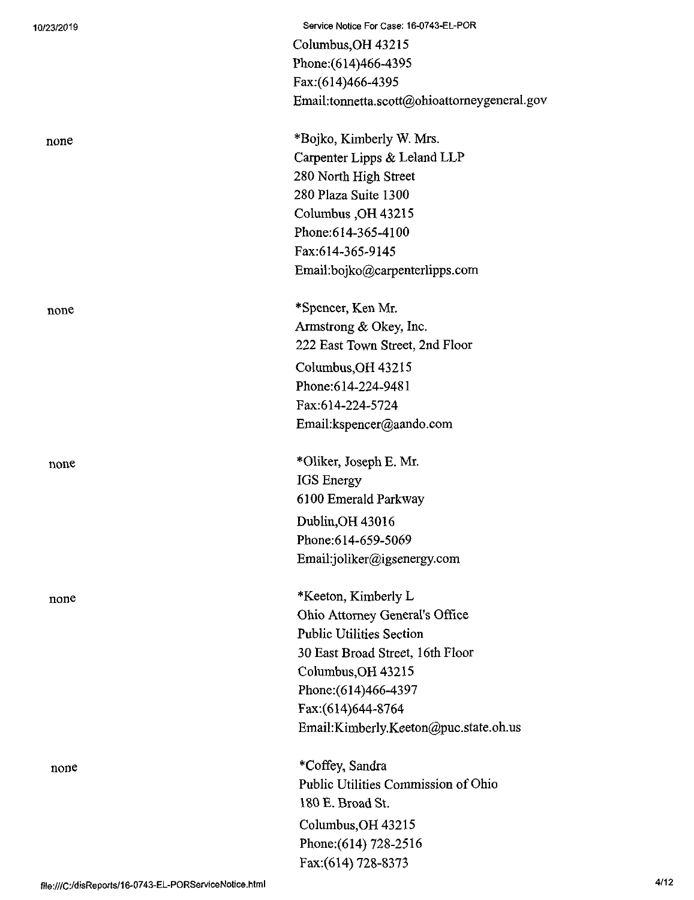| 10/23/2019                                             | Service Notice For Case: 16-0743-EL-POR      |      |
|--------------------------------------------------------|----------------------------------------------|------|
|                                                        | Columbus, OH 43215                           |      |
|                                                        | Phone: (614)466-4395                         |      |
|                                                        | Fax:(614)466-4395                            |      |
|                                                        | Email:tonnetta.scott@ohioattorneygeneral.gov |      |
| none                                                   | *Bojko, Kimberly W. Mrs.                     |      |
|                                                        | Carpenter Lipps & Leland LLP                 |      |
|                                                        | 280 North High Street                        |      |
|                                                        | 280 Plaza Suite 1300                         |      |
|                                                        | Columbus, OH 43215                           |      |
|                                                        | Phone: 614-365-4100                          |      |
|                                                        | Fax:614-365-9145                             |      |
|                                                        | Email:bojko@carpenterlipps.com               |      |
| none                                                   | *Spencer, Ken Mr.                            |      |
|                                                        | Armstrong & Okey, Inc.                       |      |
|                                                        | 222 East Town Street, 2nd Floor              |      |
|                                                        | Columbus, OH 43215                           |      |
|                                                        | Phone:614-224-9481                           |      |
|                                                        | Fax:614-224-5724                             |      |
|                                                        | Email:kspencer@aando.com                     |      |
| none                                                   | *Oliker, Joseph E. Mr.                       |      |
|                                                        | <b>IGS</b> Energy                            |      |
|                                                        | 6100 Emerald Parkway                         |      |
|                                                        | Dublin, OH 43016                             |      |
|                                                        | Phone:614-659-5069                           |      |
|                                                        | Email:joliker@igsenergy.com                  |      |
| none                                                   | *Keeton, Kimberly L                          |      |
|                                                        | Ohio Attorney General's Office               |      |
|                                                        | <b>Public Utilities Section</b>              |      |
|                                                        | 30 East Broad Street, 16th Floor             |      |
|                                                        | Columbus, OH 43215                           |      |
|                                                        | Phone: (614)466-4397                         |      |
|                                                        | Fax:(614)644-8764                            |      |
|                                                        | Email:Kimberly.Keeton@puc.state.oh.us        |      |
| none                                                   | *Coffey, Sandra                              |      |
|                                                        | Public Utilities Commission of Ohio          |      |
|                                                        | 180 E. Broad St.                             |      |
|                                                        | Columbus, OH 43215                           |      |
|                                                        | Phone: (614) 728-2516                        |      |
|                                                        | Fax: (614) 728-8373                          |      |
| file:///C:/disReports/16-0743-EL-PORServiceNotice.html |                                              | 4/12 |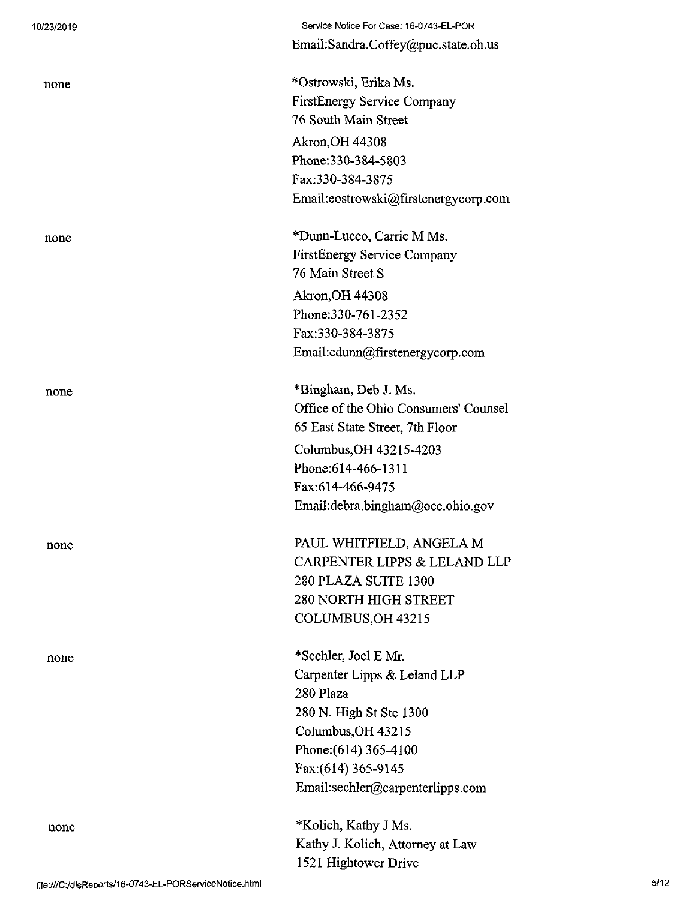| 10/23/2019 | Service Notice For Case: 16-0743-EL-POR |
|------------|-----------------------------------------|
|            | Email:Sandra.Coffey@puc.state.oh.us     |
| none       | *Ostrowski, Erika Ms.                   |
|            | <b>FirstEnergy Service Company</b>      |
|            | 76 South Main Street                    |
|            | Akron, OH 44308                         |
|            | Phone: 330-384-5803                     |
|            | Fax:330-384-3875                        |
|            | Email:eostrowski@firstenergycorp.com    |
| none       | *Dunn-Lucco, Carrie M Ms.               |
|            | <b>FirstEnergy Service Company</b>      |
|            | 76 Main Street S                        |
|            | <b>Akron, OH 44308</b>                  |
|            | Phone: 330-761-2352                     |
|            | Fax:330-384-3875                        |
|            | Email:cdunn@firstenergycorp.com         |
| none       | *Bingham, Deb J. Ms.                    |
|            | Office of the Ohio Consumers' Counsel   |
|            | 65 East State Street, 7th Floor         |
|            | Columbus, OH 43215-4203                 |
|            | Phone: 614-466-1311                     |
|            | Fax:614-466-9475                        |
|            | Email:debra.bingham@occ.ohio.gov        |
| none       | PAUL WHITFIELD, ANGELA M                |
|            | CARPENTER LIPPS & LELAND LLP            |
|            | 280 PLAZA SUITE 1300                    |
|            | <b>280 NORTH HIGH STREET</b>            |
|            | COLUMBUS, OH 43215                      |
| none       | *Sechler, Joel E Mr.                    |
|            | Carpenter Lipps & Leland LLP            |
|            | 280 Plaza                               |
|            | 280 N. High St Ste 1300                 |
|            | Columbus, OH 43215                      |
|            | Phone: (614) 365-4100                   |
|            | Fax: (614) 365-9145                     |
|            | Email:sechler@carpenterlipps.com        |
| none       | *Kolich, Kathy J Ms.                    |
|            | Kathy J. Kolich, Attorney at Law        |
|            | 1521 Hightower Drive                    |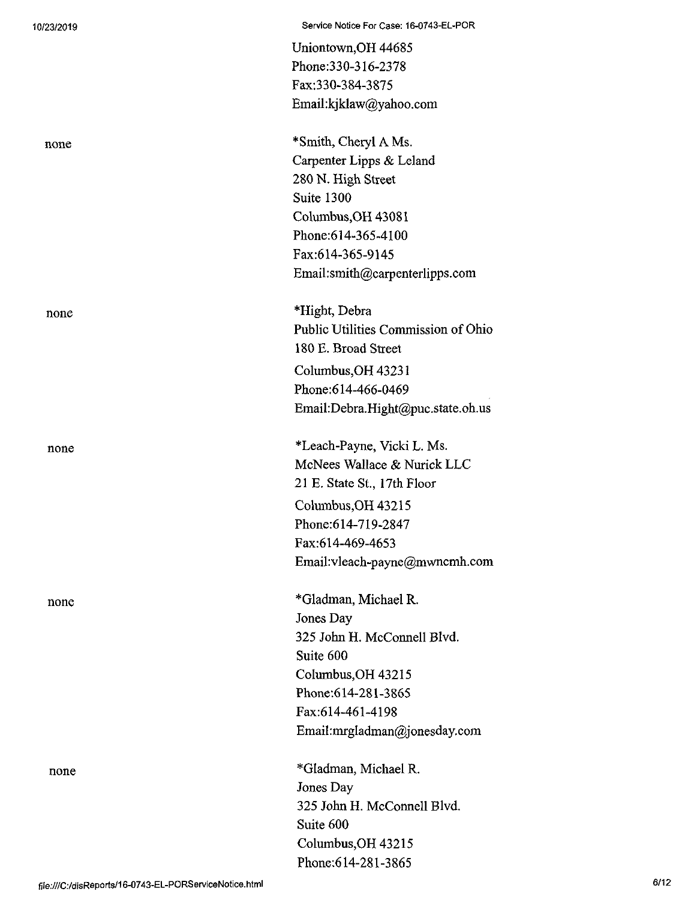| 10/23/2019                                             | Service Notice For Case: 16-0743-EL-POR |
|--------------------------------------------------------|-----------------------------------------|
|                                                        | Uniontown, OH 44685                     |
|                                                        | Phone: 330-316-2378                     |
|                                                        | Fax:330-384-3875                        |
|                                                        | Email:kjklaw@yahoo.com                  |
| none                                                   | *Smith, Cheryl A Ms.                    |
|                                                        | Carpenter Lipps & Leland                |
|                                                        | 280 N. High Street                      |
|                                                        | Suite 1300                              |
|                                                        | Columbus, OH 43081                      |
|                                                        | Phone: 614-365-4100                     |
|                                                        | Fax:614-365-9145                        |
|                                                        | Email:smith@carpenterlipps.com          |
| none                                                   | *Hight, Debra                           |
|                                                        | Public Utilities Commission of Ohio     |
|                                                        | 180 E. Broad Street                     |
|                                                        | Columbus, OH 43231                      |
|                                                        | Phone:614-466-0469                      |
|                                                        | Email:Debra.Hight@puc.state.oh.us       |
| none                                                   | *Leach-Payne, Vicki L. Ms.              |
|                                                        | McNees Wallace & Nurick LLC             |
|                                                        | 21 E. State St., 17th Floor             |
|                                                        | Columbus, OH 43215                      |
|                                                        | Phone: 614-719-2847                     |
|                                                        | Fax:614-469-4653                        |
|                                                        | Email:vleach-payne@mwncmh.com           |
| none                                                   | *Gladman, Michael R.                    |
|                                                        | Jones Day                               |
|                                                        | 325 John H. McConnell Blvd.             |
|                                                        | Suite 600                               |
|                                                        | Columbus, OH 43215                      |
|                                                        | Phone: 614-281-3865                     |
|                                                        | Fax:614-461-4198                        |
|                                                        | Email:mrgladman@jonesday.com            |
| none                                                   | *Gladman, Michael R.                    |
|                                                        | Jones Day                               |
|                                                        | 325 John H. McConnell Blvd.             |
|                                                        | Suite 600                               |
|                                                        | Columbus, OH 43215                      |
|                                                        | Phone: 614-281-3865                     |
| file:///C:/disReports/16-0743-EL-PORServiceNotice.html | 6/12                                    |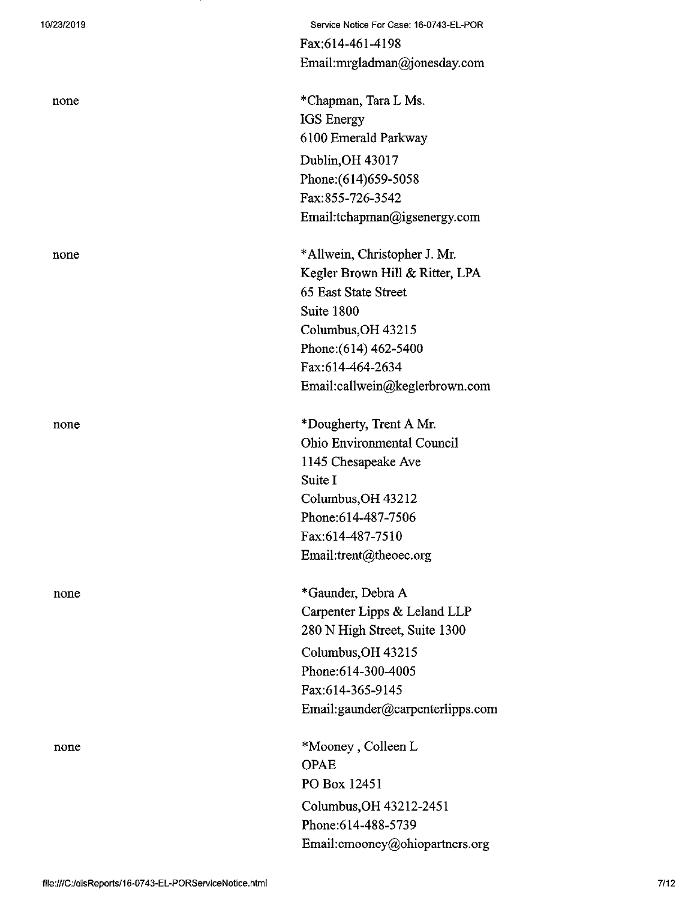| 10/23/2019 | Service Notice For Case: 16-0743-EL-POR |
|------------|-----------------------------------------|
|            | Fax:614-461-4198                        |
|            | Email:mrgladman@jonesday.com            |
| none       | *Chapman, Tara L Ms.                    |
|            | <b>IGS</b> Energy                       |
|            | 6100 Emerald Parkway                    |
|            | Dublin, OH 43017                        |
|            | Phone: (614) 659-5058                   |
|            | Fax:855-726-3542                        |
|            | Email:tchapman@igsenergy.com            |
| none       | *Allwein, Christopher J. Mr.            |
|            | Kegler Brown Hill & Ritter, LPA         |
|            | 65 East State Street                    |
|            | Suite 1800                              |
|            | Columbus, OH 43215                      |
|            | Phone: (614) 462-5400                   |
|            | Fax:614-464-2634                        |
|            | Email:callwein@keglerbrown.com          |
| none       | *Dougherty, Trent A Mr.                 |
|            | Ohio Environmental Council              |
|            | 1145 Chesapeake Ave                     |
|            | Suite I                                 |
|            | Columbus, OH 43212                      |
|            | Phone: 614-487-7506                     |
|            | Fax:614-487-7510                        |
|            | Email:trent@theoec.org                  |
| none       | *Gaunder, Debra A                       |
|            | Carpenter Lipps & Leland LLP            |
|            | 280 N High Street, Suite 1300           |
|            | Columbus, OH 43215                      |
|            | Phone: 614-300-4005                     |
|            | Fax:614-365-9145                        |
|            | Email:gaunder@carpenterlipps.com        |
| none       | *Mooney, Colleen L                      |
|            | <b>OPAE</b>                             |
|            | PO Box 12451                            |
|            | Columbus, OH 43212-2451                 |
|            | Phone: 614-488-5739                     |
|            | Email: cmooney@ohiopartners.org         |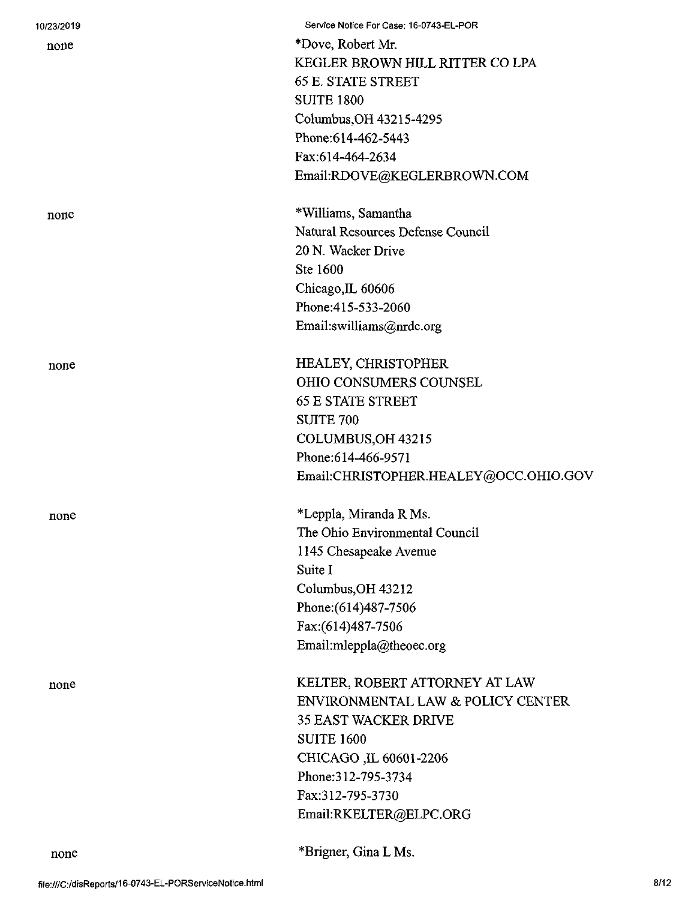| 10/23/2019 | Service Notice For Case: 16-0743-EL-POR |
|------------|-----------------------------------------|
| none       | *Dove, Robert Mr.                       |
|            | KEGLER BROWN HILL RITTER CO LPA         |
|            | <b>65 E. STATE STREET</b>               |
|            | <b>SUITE 1800</b>                       |
|            | Columbus, OH 43215-4295                 |
|            | Phone: 614-462-5443                     |
|            | Fax:614-464-2634                        |
|            | Email:RDOVE@KEGLERBROWN.COM             |
| none       | *Williams, Samantha                     |
|            | Natural Resources Defense Council       |
|            | 20 N. Wacker Drive                      |
|            | Ste 1600                                |
|            | Chicago, IL 60606                       |
|            | Phone: 415-533-2060                     |
|            | Email:swilliams@nrdc.org                |
| none       | HEALEY, CHRISTOPHER                     |
|            | OHIO CONSUMERS COUNSEL                  |
|            | <b>65 E STATE STREET</b>                |
|            | <b>SUITE 700</b>                        |
|            | COLUMBUS, OH 43215                      |
|            | Phone: 614-466-9571                     |
|            | Email:CHRISTOPHER.HEALEY@OCC.OHIO.GOV   |
| none       | *Leppla, Miranda R Ms.                  |
|            | The Ohio Environmental Council          |
|            | 1145 Chesapeake Avenue                  |
|            | Suite I                                 |
|            | Columbus, OH 43212                      |
|            | Phone: (614) 487-7506                   |
|            | Fax:(614)487-7506                       |
|            | Email:mleppla@theoec.org                |
| none       | KELTER, ROBERT ATTORNEY AT LAW          |
|            | ENVIRONMENTAL LAW & POLICY CENTER       |
|            | <b>35 EAST WACKER DRIVE</b>             |
|            | <b>SUITE 1600</b>                       |
|            | CHICAGO, IL 60601-2206                  |
|            | Phone: 312-795-3734                     |
|            | Fax:312-795-3730                        |
|            | Email:RKELTER@ELPC.ORG                  |
|            |                                         |

\*Brigner, Gina L Ms.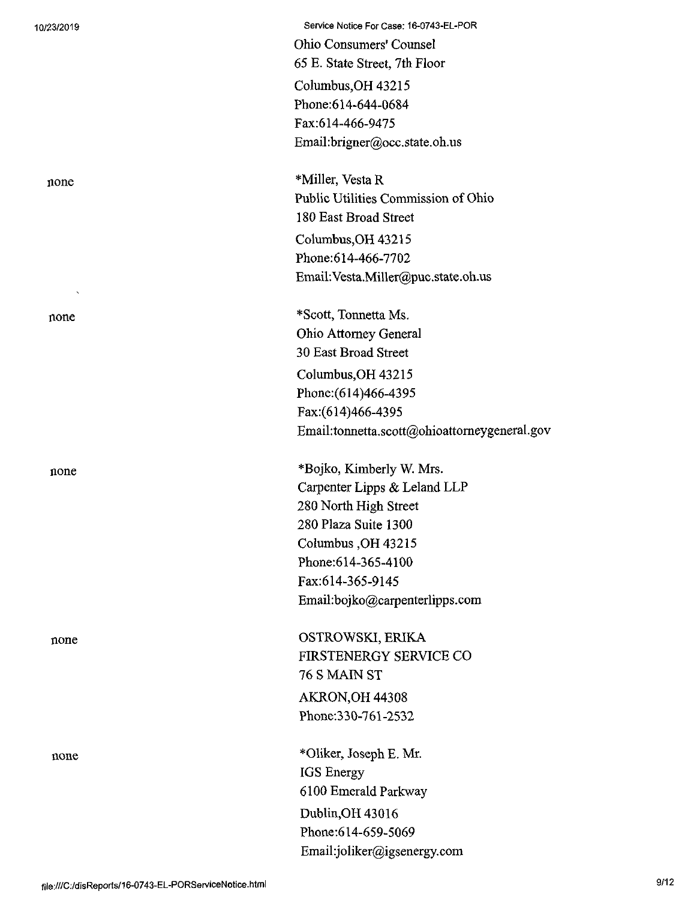10/23/2019 Service Notice For Case: 16-0743-EL-POR Ohio Consumers' Counsel 65 E. State Street, 7th Floor Columbus,OH 43215 Phone:614-644-0684 Fax:614-466-9475 Email:brigner@occ.state.oh.us

none \*Miller, Vesta R Public Utilities Commission of Ohio 180 East Broad Street Columbus,OH 43215 Phone:614-466-7702 Email:Vesta.Miller@puc.state.oh.us

none \*Scott, Tonnetta Ms. Ohio Attorney General 30 East Broad Street Columbus,OH 43215 Phone:(614)466-4395 Fax:(614)466-4395 Email:tonnetta.scott@ohioattomeygeneral.gov

none \*Bojko, Kimberly W. Mrs. Carpenter Lipps & Leland LLP 280 North High Street 280 Plaza Suite 1300 Columbus ,OH 43215 Phone:614-365-4100 Fax:614-365-9145 Email:bojko@carpenterlipps.com

none OSTROWSKI, ERIKA FIRSTENERGY SERVICE CO 76 S MAIN ST AKRON,OH 44308 Phone:330-761-2532

none \*01iker, Joseph E. Mr. IGS Energy 6100 Emerald Parkway Dublin,0H 43016 Phone:614-659-5069 Email:joliker@igsenergy.com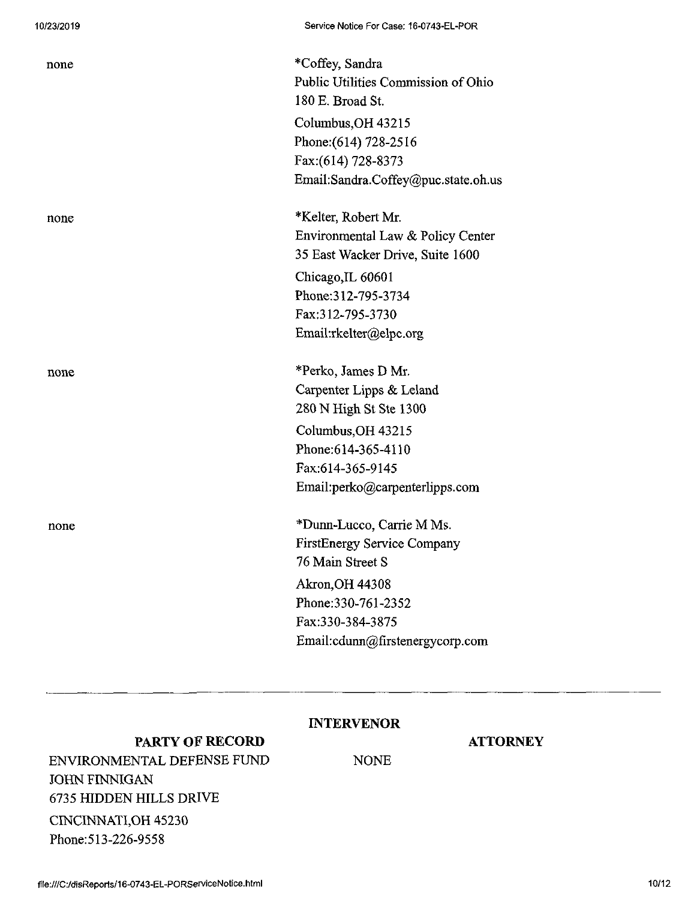| none | *Coffey, Sandra                     |
|------|-------------------------------------|
|      | Public Utilities Commission of Ohio |
|      | 180 E. Broad St.                    |
|      | Columbus, OH 43215                  |
|      | Phone: (614) 728-2516               |
|      | Fax: (614) 728-8373                 |
|      | Email:Sandra.Coffey@puc.state.oh.us |
| none | *Kelter, Robert Mr.                 |
|      | Environmental Law & Policy Center   |
|      | 35 East Wacker Drive, Suite 1600    |
|      | Chicago, IL 60601                   |
|      | Phone: 312-795-3734                 |
|      | Fax:312-795-3730                    |
|      | Email:rkelter@elpc.org              |
| none | *Perko, James D Mr.                 |
|      | Carpenter Lipps & Leland            |
|      | 280 N High St Ste 1300              |
|      |                                     |
|      | Columbus, OH 43215                  |
|      | Phone: 614-365-4110                 |
|      | Fax:614-365-9145                    |
|      | Email:perko@carpenterlipps.com      |
| none | *Dunn-Lucco, Carrie M Ms.           |
|      | FirstEnergy Service Company         |
|      | 76 Main Street S                    |
|      | Akron, OH 44308                     |
|      | Phone: 330-761-2352                 |
|      | Fax:330-384-3875                    |
|      | Email:cdunn@firstenergycorp.com     |

# INTERVENOR

NONE

## **PARTY OF RECORD**

ENVIRONMENTAL DEFENSE FUND JOHN FINNIGAN 6735 HIDDEN HILLS DRIVE CINCINNATI,OH 45230 Phone:513-226-9558

### **ATTORNEY**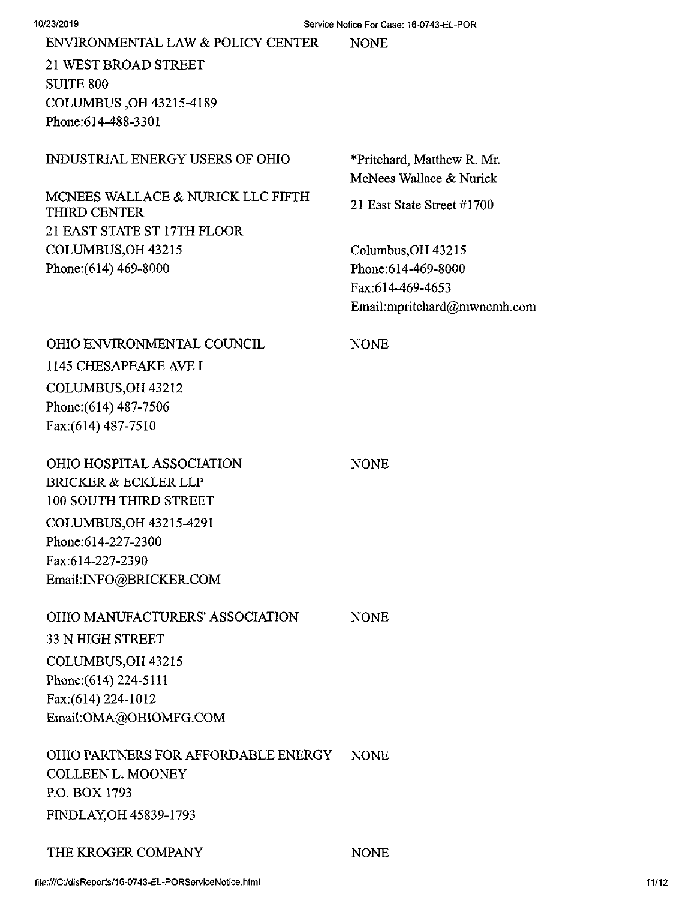| ENVIRONMENTAL LAW & POLICY CENTER | <b>NONE</b> |
|-----------------------------------|-------------|
|-----------------------------------|-------------|

21 WEST BROAD STREET SUITE 800 COLUMBUS ,OH 43215-4189 Phone:614-488-3301

### INDUSTRIAL ENERGY USERS OF OHIO

# MCNEES WALLACE & NURICK LLC FIFTH THIRD CENTER 21 EAST STATE ST 17TH FLOOR COLUMBUS,OH 43215 Phone:(614) 469-8000

\*Pritchard, Matthew R. Mr. McNees Wallace & Nurick

21 East State Street #1700

NONE

**NONE** 

NONE

Columbus,OH 43215 Phone:614-469-8000 Fax:614-469-4653 Email:mpritchard@mwncmh.com

# OHIO ENVIRONMENTAL COUNCIL 1145 CHESAPEAKE AVEI COLUMBUS,OH 43212 Phone:(614) 487-7506 Fax;(614) 487-7510

OHIO HOSPITAL ASSOCIATION BRICKER & ECKLER LLP 100 SOUTH THIRD STREET COLUMBUS,OH 43215-4291 Phone:614-227-2300 Fax:614-227-2390 Email:INFO@BRICKER.COM

# OHIO MANUFACTURERS' ASSOCIATION 33 N HIGH STREET

COLUMBUS,OH 43215 Phone:(614) 224-5111 Fax:(614) 224-1012 Email:OMA@OH10MFG.COM

OHIO PARTNERS FOR AFFORDABLE ENERGY COLLEEN L. MOONEY P.O. BOX 1793 FINDLAY,OH 45839-1793 NONE

## THE KROGER COMPANY NONE